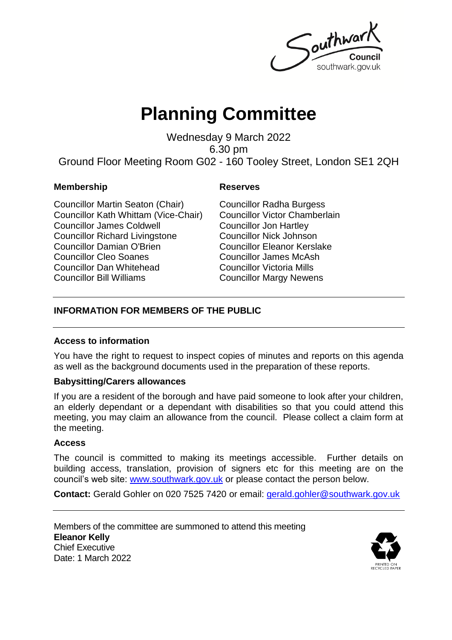Southwar southwark.gov.uk

# **Planning Committee**

Wednesday 9 March 2022 6.30 pm Ground Floor Meeting Room G02 - 160 Tooley Street, London SE1 2QH

#### **Membership** Reserves

Councillor Martin Seaton (Chair) Councillor Kath Whittam (Vice-Chair) Councillor James Coldwell Councillor Richard Livingstone Councillor Damian O'Brien Councillor Cleo Soanes Councillor Dan Whitehead Councillor Bill Williams

Councillor Radha Burgess Councillor Victor Chamberlain Councillor Jon Hartley Councillor Nick Johnson Councillor Eleanor Kerslake Councillor James McAsh Councillor Victoria Mills Councillor Margy Newens

### **INFORMATION FOR MEMBERS OF THE PUBLIC**

### **Access to information**

You have the right to request to inspect copies of minutes and reports on this agenda as well as the background documents used in the preparation of these reports.

### **Babysitting/Carers allowances**

If you are a resident of the borough and have paid someone to look after your children, an elderly dependant or a dependant with disabilities so that you could attend this meeting, you may claim an allowance from the council. Please collect a claim form at the meeting.

#### **Access**

The council is committed to making its meetings accessible. Further details on building access, translation, provision of signers etc for this meeting are on the council's web site: [www.southwark.gov.uk](http://www.southwark.gov.uk/Public/Home.aspx) or please contact the person below.

**Contact:** Gerald Gohler on 020 7525 7420 or email: [gerald.gohler@southwark.gov.uk](mailto:gerald.gohler@southwark.gov.uk)

Members of the committee are summoned to attend this meeting **Eleanor Kelly** Chief Executive Date: 1 March 2022

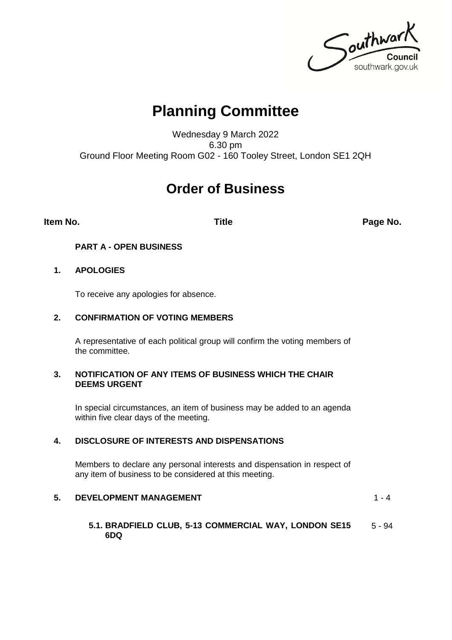Southwark southwark.gov.uk

## **Planning Committee**

Wednesday 9 March 2022 6.30 pm Ground Floor Meeting Room G02 - 160 Tooley Street, London SE1 2QH

### **Order of Business**

**Item No. Title Page No.**

#### **PART A - OPEN BUSINESS**

#### **1. APOLOGIES**

To receive any apologies for absence.

#### **2. CONFIRMATION OF VOTING MEMBERS**

A representative of each political group will confirm the voting members of the committee.

#### **3. NOTIFICATION OF ANY ITEMS OF BUSINESS WHICH THE CHAIR DEEMS URGENT**

In special circumstances, an item of business may be added to an agenda within five clear days of the meeting.

#### **4. DISCLOSURE OF INTERESTS AND DISPENSATIONS**

Members to declare any personal interests and dispensation in respect of any item of business to be considered at this meeting.

#### **5. DEVELOPMENT MANAGEMENT 1-4**

#### **5.1. BRADFIELD CLUB, 5-13 COMMERCIAL WAY, LONDON SE15 6DQ** 5 - 94